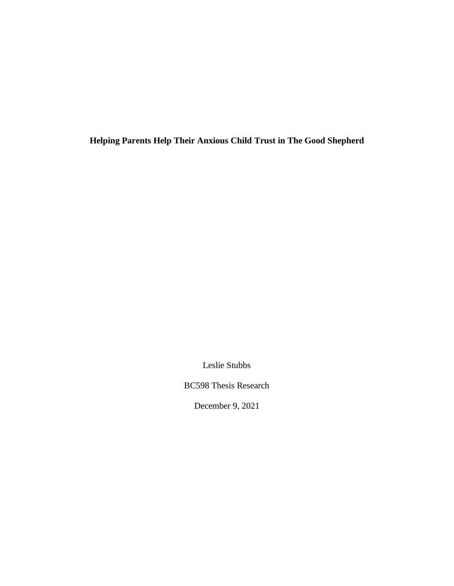**Helping Parents Help Their Anxious Child Trust in The Good Shepherd**

Leslie Stubbs

BC598 Thesis Research

December 9, 2021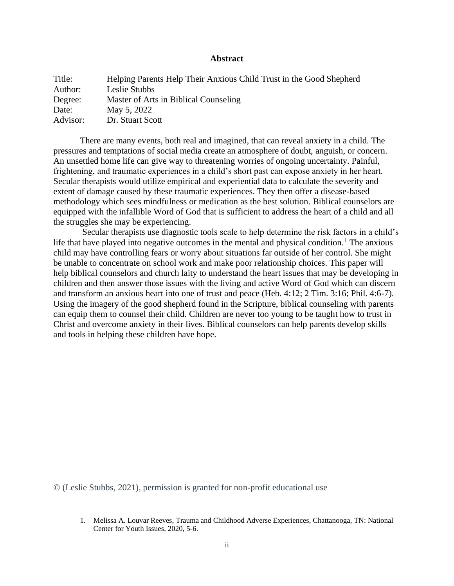# **Abstract**

| Title:   | Helping Parents Help Their Anxious Child Trust in the Good Shepherd |
|----------|---------------------------------------------------------------------|
| Author:  | Leslie Stubbs                                                       |
| Degree:  | Master of Arts in Biblical Counseling                               |
| Date:    | May 5, 2022                                                         |
| Advisor: | Dr. Stuart Scott                                                    |

There are many events, both real and imagined, that can reveal anxiety in a child. The pressures and temptations of social media create an atmosphere of doubt, anguish, or concern. An unsettled home life can give way to threatening worries of ongoing uncertainty. Painful, frightening, and traumatic experiences in a child's short past can expose anxiety in her heart. Secular therapists would utilize empirical and experiential data to calculate the severity and extent of damage caused by these traumatic experiences. They then offer a disease-based methodology which sees mindfulness or medication as the best solution. Biblical counselors are equipped with the infallible Word of God that is sufficient to address the heart of a child and all the struggles she may be experiencing.

Secular therapists use diagnostic tools scale to help determine the risk factors in a child's life that have played into negative outcomes in the mental and physical condition.<sup>1</sup> The anxious child may have controlling fears or worry about situations far outside of her control. She might be unable to concentrate on school work and make poor relationship choices. This paper will help biblical counselors and church laity to understand the heart issues that may be developing in children and then answer those issues with the living and active Word of God which can discern and transform an anxious heart into one of trust and peace (Heb. 4:12; 2 Tim. 3:16; Phil. 4:6-7). Using the imagery of the good shepherd found in the Scripture, biblical counseling with parents can equip them to counsel their child. Children are never too young to be taught how to trust in Christ and overcome anxiety in their lives. Biblical counselors can help parents develop skills and tools in helping these children have hope.

© (Leslie Stubbs, 2021), permission is granted for non-profit educational use

<sup>1.</sup> Melissa A. Louvar Reeves, Trauma and Childhood Adverse Experiences, Chattanooga, TN: National Center for Youth Issues, 2020, 5-6.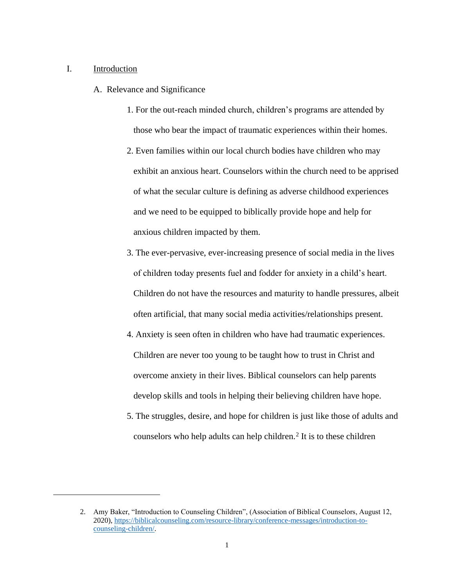## I. Introduction

A. Relevance and Significance

- 1. For the out-reach minded church, children's programs are attended by those who bear the impact of traumatic experiences within their homes.
- 2. Even families within our local church bodies have children who may exhibit an anxious heart. Counselors within the church need to be apprised of what the secular culture is defining as adverse childhood experiences and we need to be equipped to biblically provide hope and help for anxious children impacted by them.
- 3. The ever-pervasive, ever-increasing presence of social media in the lives of children today presents fuel and fodder for anxiety in a child's heart. Children do not have the resources and maturity to handle pressures, albeit often artificial, that many social media activities/relationships present.
- 4. Anxiety is seen often in children who have had traumatic experiences. Children are never too young to be taught how to trust in Christ and overcome anxiety in their lives. Biblical counselors can help parents develop skills and tools in helping their believing children have hope.
- 5. The struggles, desire, and hope for children is just like those of adults and counselors who help adults can help children.<sup>2</sup> It is to these children

<sup>2.</sup> Amy Baker, "Introduction to Counseling Children", (Association of Biblical Counselors, August 12, 2020), [https://biblicalcounseling.com/resource-library/conference-messages/introduction-to](https://biblicalcounseling.com/resource-library/conference-messages/introduction-to-counseling-children/)[counseling-children/.](https://biblicalcounseling.com/resource-library/conference-messages/introduction-to-counseling-children/)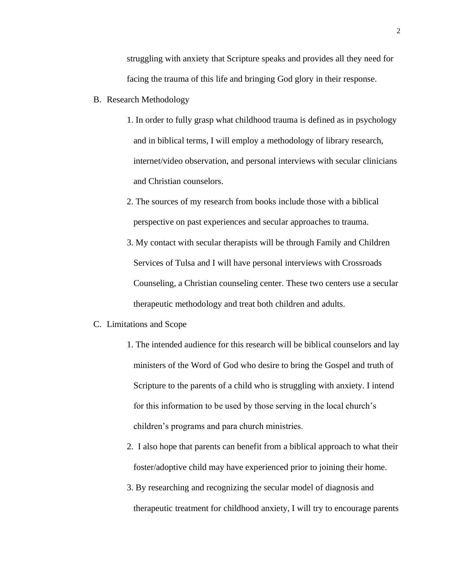struggling with anxiety that Scripture speaks and provides all they need for facing the trauma of this life and bringing God glory in their response.

- B. Research Methodology
	- 1. In order to fully grasp what childhood trauma is defined as in psychology and in biblical terms, I will employ a methodology of library research, internet/video observation, and personal interviews with secular clinicians and Christian counselors.
	- 2. The sources of my research from books include those with a biblical perspective on past experiences and secular approaches to trauma.
	- 3. My contact with secular therapists will be through Family and Children Services of Tulsa and I will have personal interviews with Crossroads Counseling, a Christian counseling center. These two centers use a secular therapeutic methodology and treat both children and adults.

#### C. Limitations and Scope

- 1. The intended audience for this research will be biblical counselors and lay ministers of the Word of God who desire to bring the Gospel and truth of Scripture to the parents of a child who is struggling with anxiety. I intend for this information to be used by those serving in the local church's children's programs and para church ministries.
- 2. I also hope that parents can benefit from a biblical approach to what their foster/adoptive child may have experienced prior to joining their home.
- 3. By researching and recognizing the secular model of diagnosis and therapeutic treatment for childhood anxiety, I will try to encourage parents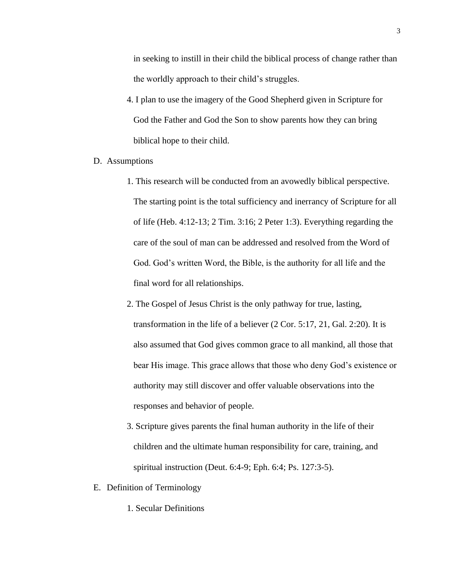in seeking to instill in their child the biblical process of change rather than the worldly approach to their child's struggles.

4. I plan to use the imagery of the Good Shepherd given in Scripture for God the Father and God the Son to show parents how they can bring biblical hope to their child.

## D. Assumptions

- 1. This research will be conducted from an avowedly biblical perspective. The starting point is the total sufficiency and inerrancy of Scripture for all of life (Heb. 4:12-13; 2 Tim. 3:16; 2 Peter 1:3). Everything regarding the care of the soul of man can be addressed and resolved from the Word of God. God's written Word, the Bible, is the authority for all life and the final word for all relationships.
- 2. The Gospel of Jesus Christ is the only pathway for true, lasting, transformation in the life of a believer (2 Cor. 5:17, 21, Gal. 2:20). It is also assumed that God gives common grace to all mankind, all those that bear His image. This grace allows that those who deny God's existence or authority may still discover and offer valuable observations into the responses and behavior of people.
- 3. Scripture gives parents the final human authority in the life of their children and the ultimate human responsibility for care, training, and spiritual instruction (Deut. 6:4-9; Eph. 6:4; Ps. 127:3-5).
- E. Definition of Terminology
	- 1. Secular Definitions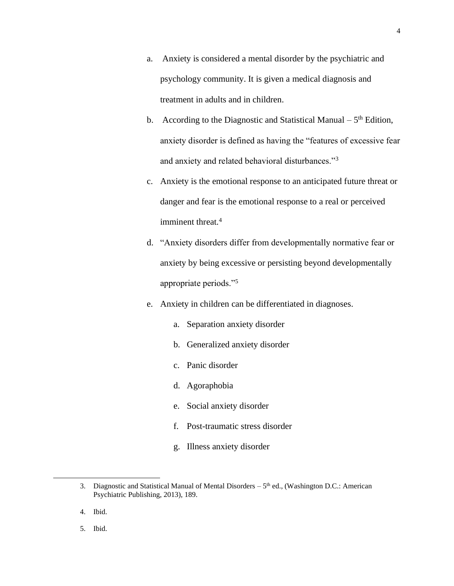- a. Anxiety is considered a mental disorder by the psychiatric and psychology community. It is given a medical diagnosis and treatment in adults and in children.
- b. According to the Diagnostic and Statistical Manual  $-5<sup>th</sup>$  Edition, anxiety disorder is defined as having the "features of excessive fear and anxiety and related behavioral disturbances."<sup>3</sup>
- c. Anxiety is the emotional response to an anticipated future threat or danger and fear is the emotional response to a real or perceived imminent threat.<sup>4</sup>
- d. "Anxiety disorders differ from developmentally normative fear or anxiety by being excessive or persisting beyond developmentally appropriate periods."<sup>5</sup>
- e. Anxiety in children can be differentiated in diagnoses.
	- a. Separation anxiety disorder
	- b. Generalized anxiety disorder
	- c. Panic disorder
	- d. Agoraphobia
	- e. Social anxiety disorder
	- f. Post-traumatic stress disorder
	- g. Illness anxiety disorder

5. Ibid.

<sup>3.</sup> Diagnostic and Statistical Manual of Mental Disorders  $-5<sup>th</sup>$  ed., (Washington D.C.: American Psychiatric Publishing, 2013), 189.

<sup>4.</sup> Ibid.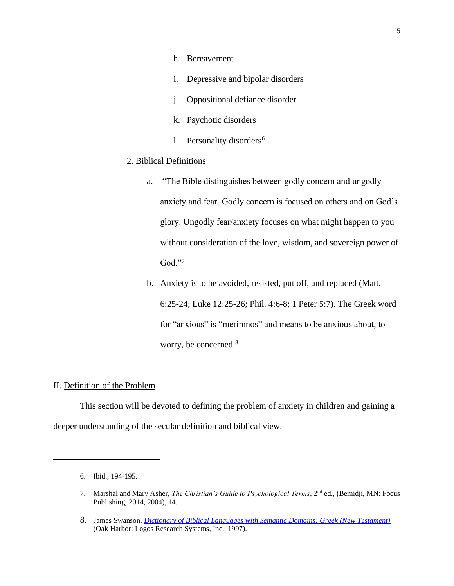- h. Bereavement
- i. Depressive and bipolar disorders
- j. Oppositional defiance disorder
- k. Psychotic disorders
- l. Personality disorders<sup>6</sup>
- 2. Biblical Definitions
	- a. "The Bible distinguishes between godly concern and ungodly anxiety and fear. Godly concern is focused on others and on God's glory. Ungodly fear/anxiety focuses on what might happen to you without consideration of the love, wisdom, and sovereign power of God."<sup>7</sup>
	- b. Anxiety is to be avoided, resisted, put off, and replaced (Matt. 6:25-24; Luke 12:25-26; Phil. 4:6-8; 1 Peter 5:7). The Greek word for "anxious" is "merimnos" and means to be anxious about, to worry, be concerned.<sup>8</sup>

## II. Definition of the Problem

This section will be devoted to defining the problem of anxiety in children and gaining a deeper understanding of the secular definition and biblical view.

<sup>6.</sup> Ibid., 194-195.

<sup>7.</sup> Marshal and Mary Asher, *The Christian's Guide to Psychological Terms*, 2nd ed., (Bemidji, MN: Focus Publishing, 2014, 2004), 14.

<sup>8.</sup> James Swanson, *[Dictionary of Biblical Languages with Semantic Domains: Greek \(New Testament\)](https://ref.ly/logosres/dblgreek?ref=DBLGreek.DBLG+3534&off=66&ctx=DNT+4.589%E2%80%94LN+25.225+~be+anxious+about%2c+wo)* (Oak Harbor: Logos Research Systems, Inc., 1997).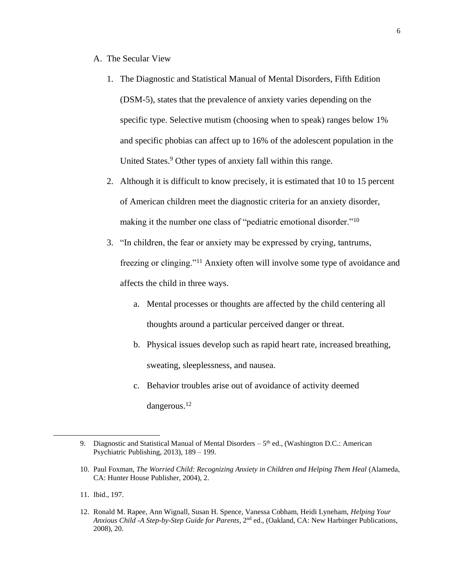- A. The Secular View
	- 1. The Diagnostic and Statistical Manual of Mental Disorders, Fifth Edition (DSM-5), states that the prevalence of anxiety varies depending on the specific type. Selective mutism (choosing when to speak) ranges below 1% and specific phobias can affect up to 16% of the adolescent population in the United States.<sup>9</sup> Other types of anxiety fall within this range.
	- 2. Although it is difficult to know precisely, it is estimated that 10 to 15 percent of American children meet the diagnostic criteria for an anxiety disorder, making it the number one class of "pediatric emotional disorder."<sup>10</sup>
	- 3. "In children, the fear or anxiety may be expressed by crying, tantrums, freezing or clinging."<sup>11</sup> Anxiety often will involve some type of avoidance and affects the child in three ways.
		- a. Mental processes or thoughts are affected by the child centering all thoughts around a particular perceived danger or threat.
		- b. Physical issues develop such as rapid heart rate, increased breathing, sweating, sleeplessness, and nausea.
		- c. Behavior troubles arise out of avoidance of activity deemed dangerous.<sup>12</sup>

<sup>9.</sup> Diagnostic and Statistical Manual of Mental Disorders  $-5<sup>th</sup>$  ed., (Washington D.C.: American Psychiatric Publishing, 2013), 189 – 199.

<sup>10.</sup> Paul Foxman, *The Worried Child: Recognizing Anxiety in Children and Helping Them Heal* (Alameda, CA: Hunter House Publisher, 2004), 2.

<sup>11.</sup> Ibid., 197.

<sup>12.</sup> Ronald M. Rapee, Ann Wignall, Susan H. Spence, Vanessa Cobham, Heidi Lyneham, *Helping Your Anxious Child -A Step-by-Step Guide for Parents*, 2nd ed., (Oakland, CA: New Harbinger Publications, 2008), 20.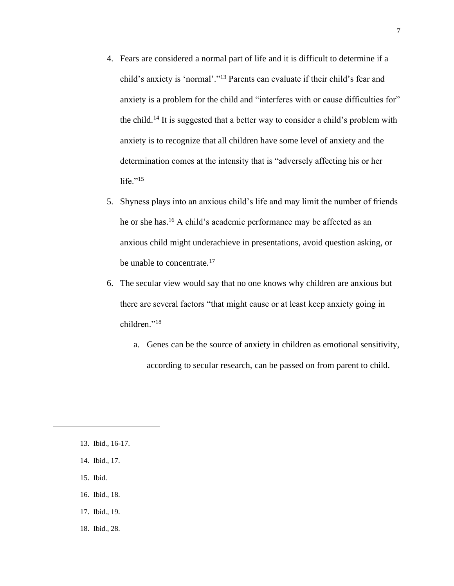- 4. Fears are considered a normal part of life and it is difficult to determine if a child's anxiety is 'normal'."<sup>13</sup> Parents can evaluate if their child's fear and anxiety is a problem for the child and "interferes with or cause difficulties for" the child.<sup>14</sup> It is suggested that a better way to consider a child's problem with anxiety is to recognize that all children have some level of anxiety and the determination comes at the intensity that is "adversely affecting his or her life." $^{15}$
- 5. Shyness plays into an anxious child's life and may limit the number of friends he or she has.<sup>16</sup> A child's academic performance may be affected as an anxious child might underachieve in presentations, avoid question asking, or be unable to concentrate.<sup>17</sup>
- 6. The secular view would say that no one knows why children are anxious but there are several factors "that might cause or at least keep anxiety going in children."<sup>18</sup>
	- a. Genes can be the source of anxiety in children as emotional sensitivity, according to secular research, can be passed on from parent to child.

- 14. Ibid., 17.
- 15. Ibid.
- 16. Ibid., 18.
- 17. Ibid., 19.
- 18. Ibid., 28.

<sup>13.</sup> Ibid., 16-17.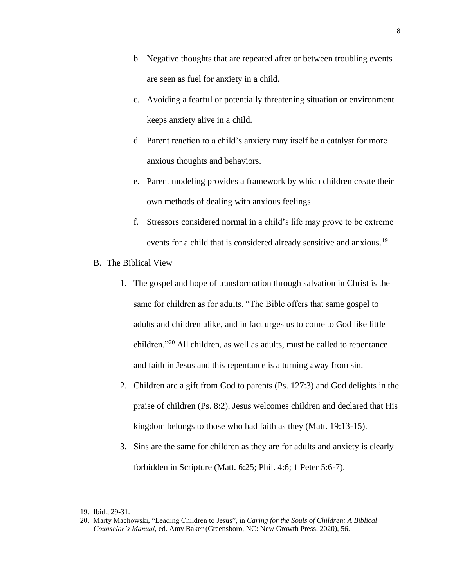- b. Negative thoughts that are repeated after or between troubling events are seen as fuel for anxiety in a child.
- c. Avoiding a fearful or potentially threatening situation or environment keeps anxiety alive in a child.
- d. Parent reaction to a child's anxiety may itself be a catalyst for more anxious thoughts and behaviors.
- e. Parent modeling provides a framework by which children create their own methods of dealing with anxious feelings.
- f. Stressors considered normal in a child's life may prove to be extreme events for a child that is considered already sensitive and anxious.<sup>19</sup>
- B. The Biblical View
	- 1. The gospel and hope of transformation through salvation in Christ is the same for children as for adults. "The Bible offers that same gospel to adults and children alike, and in fact urges us to come to God like little children."<sup>20</sup> All children, as well as adults, must be called to repentance and faith in Jesus and this repentance is a turning away from sin.
	- 2. Children are a gift from God to parents (Ps. 127:3) and God delights in the praise of children (Ps. 8:2). Jesus welcomes children and declared that His kingdom belongs to those who had faith as they (Matt. 19:13-15).
	- 3. Sins are the same for children as they are for adults and anxiety is clearly forbidden in Scripture (Matt. 6:25; Phil. 4:6; 1 Peter 5:6-7).

<sup>19.</sup> Ibid., 29-31.

<sup>20.</sup> Marty Machowski, "Leading Children to Jesus", in *Caring for the Souls of Children: A Biblical Counselor's Manual*, ed. Amy Baker (Greensboro, NC: New Growth Press, 2020), 56.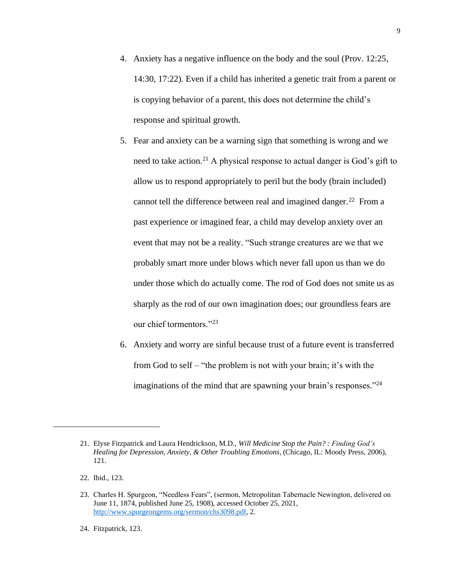- 4. Anxiety has a negative influence on the body and the soul (Prov. 12:25, 14:30, 17:22). Even if a child has inherited a genetic trait from a parent or is copying behavior of a parent, this does not determine the child's response and spiritual growth.
- 5. Fear and anxiety can be a warning sign that something is wrong and we need to take action.<sup>21</sup> A physical response to actual danger is God's gift to allow us to respond appropriately to peril but the body (brain included) cannot tell the difference between real and imagined danger.<sup>22</sup> From a past experience or imagined fear, a child may develop anxiety over an event that may not be a reality. "Such strange creatures are we that we probably smart more under blows which never fall upon us than we do under those which do actually come. The rod of God does not smite us as sharply as the rod of our own imagination does; our groundless fears are our chief tormentors."<sup>23</sup>
- 6. Anxiety and worry are sinful because trust of a future event is transferred from God to self – "the problem is not with your brain; it's with the imaginations of the mind that are spawning your brain's responses."<sup>24</sup>

24. Fitzpatrick, 123.

<sup>21.</sup> Elyse Fitzpatrick and Laura Hendrickson, M.D., *Will Medicine Stop the Pain? : Finding God's Healing for Depression, Anxiety, & Other Troubling Emotions*, (Chicago, IL: Moody Press, 2006), 121.

<sup>22.</sup> Ibid., 123.

<sup>23.</sup> Charles H. Spurgeon, "Needless Fears", (sermon, Metropolitan Tabernacle Newington, delivered on June 11, 1874, published June 25, 1908), accessed October 25, 2021, [http://www.spurgeongems.org/sermon/chs3098.pdf,](http://www.spurgeongems.org/sermon/chs3098.pdf) 2.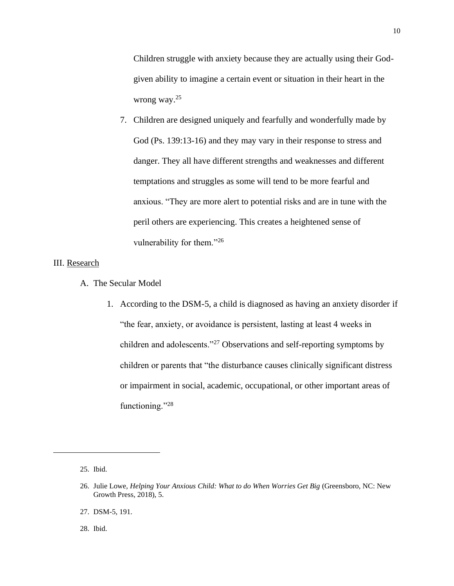Children struggle with anxiety because they are actually using their Godgiven ability to imagine a certain event or situation in their heart in the wrong way.<sup>25</sup>

7. Children are designed uniquely and fearfully and wonderfully made by God (Ps. 139:13-16) and they may vary in their response to stress and danger. They all have different strengths and weaknesses and different temptations and struggles as some will tend to be more fearful and anxious. "They are more alert to potential risks and are in tune with the peril others are experiencing. This creates a heightened sense of vulnerability for them."<sup>26</sup>

# III. Research

- A. The Secular Model
	- 1. According to the DSM-5, a child is diagnosed as having an anxiety disorder if "the fear, anxiety, or avoidance is persistent, lasting at least 4 weeks in children and adolescents."<sup>27</sup> Observations and self-reporting symptoms by children or parents that "the disturbance causes clinically significant distress or impairment in social, academic, occupational, or other important areas of functioning."<sup>28</sup>

28. Ibid.

<sup>25.</sup> Ibid.

<sup>26.</sup> Julie Lowe, *Helping Your Anxious Child: What to do When Worries Get Big* (Greensboro, NC: New Growth Press, 2018), 5.

<sup>27.</sup> DSM-5, 191.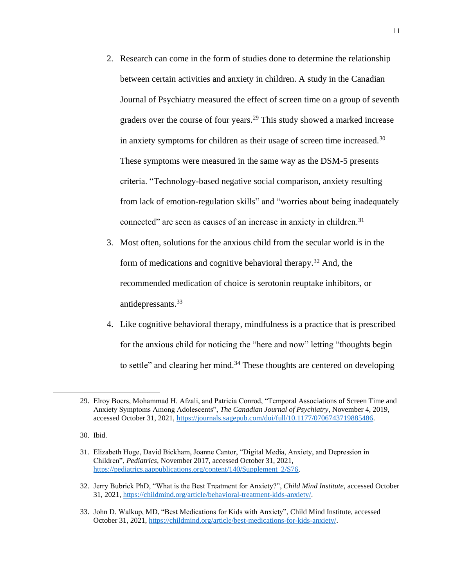- 2. Research can come in the form of studies done to determine the relationship between certain activities and anxiety in children. A study in the Canadian Journal of Psychiatry measured the effect of screen time on a group of seventh graders over the course of four years.<sup>29</sup> This study showed a marked increase in anxiety symptoms for children as their usage of screen time increased.<sup>30</sup> These symptoms were measured in the same way as the DSM-5 presents criteria. "Technology-based negative social comparison, anxiety resulting from lack of emotion-regulation skills" and "worries about being inadequately connected" are seen as causes of an increase in anxiety in children.<sup>31</sup>
- 3. Most often, solutions for the anxious child from the secular world is in the form of medications and cognitive behavioral therapy.<sup>32</sup> And, the recommended medication of choice is serotonin reuptake inhibitors, or antidepressants.<sup>33</sup>
- 4. Like cognitive behavioral therapy, mindfulness is a practice that is prescribed for the anxious child for noticing the "here and now" letting "thoughts begin to settle" and clearing her mind.<sup>34</sup> These thoughts are centered on developing

<sup>29.</sup> Elroy Boers, Mohammad H. Afzali, and Patricia Conrod, "Temporal Associations of Screen Time and Anxiety Symptoms Among Adolescents", *The Canadian Journal of Psychiatry*, November 4, 2019, accessed October 31, 2021, [https://journals.sagepub.com/doi/full/10.1177/0706743719885486.](https://journals.sagepub.com/doi/full/10.1177/0706743719885486) 

<sup>30.</sup> Ibid.

<sup>31.</sup> Elizabeth Hoge, David Bickham, Joanne Cantor, "Digital Media, Anxiety, and Depression in Children", *Pediatrics*, November 2017, accessed October 31, 2021, [https://pediatrics.aappublications.org/content/140/Supplement\\_2/S76.](https://pediatrics.aappublications.org/content/140/Supplement_2/S76)

<sup>32.</sup> Jerry Bubrick PhD, "What is the Best Treatment for Anxiety?", *Child Mind Institute*, accessed October 31, 2021, [https://childmind.org/article/behavioral-treatment-kids-anxiety/.](https://childmind.org/article/behavioral-treatment-kids-anxiety/)

<sup>33.</sup> John D. Walkup, MD, "Best Medications for Kids with Anxiety", Child Mind Institute, accessed October 31, 2021[, https://childmind.org/article/best-medications-for-kids-anxiety/.](https://childmind.org/article/best-medications-for-kids-anxiety/)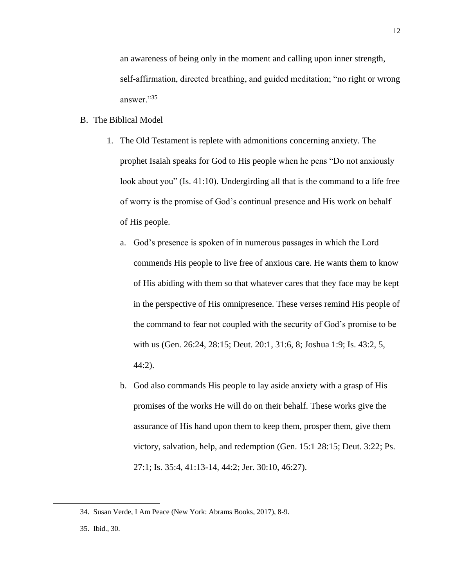an awareness of being only in the moment and calling upon inner strength, self-affirmation, directed breathing, and guided meditation; "no right or wrong answer."<sup>35</sup>

## B. The Biblical Model

- 1. The Old Testament is replete with admonitions concerning anxiety. The prophet Isaiah speaks for God to His people when he pens "Do not anxiously look about you" (Is. 41:10). Undergirding all that is the command to a life free of worry is the promise of God's continual presence and His work on behalf of His people.
	- a. God's presence is spoken of in numerous passages in which the Lord commends His people to live free of anxious care. He wants them to know of His abiding with them so that whatever cares that they face may be kept in the perspective of His omnipresence. These verses remind His people of the command to fear not coupled with the security of God's promise to be with us (Gen. 26:24, 28:15; Deut. 20:1, 31:6, 8; Joshua 1:9; Is. 43:2, 5, 44:2).
	- b. God also commands His people to lay aside anxiety with a grasp of His promises of the works He will do on their behalf. These works give the assurance of His hand upon them to keep them, prosper them, give them victory, salvation, help, and redemption (Gen. 15:1 28:15; Deut. 3:22; Ps. 27:1; Is. 35:4, 41:13-14, 44:2; Jer. 30:10, 46:27).

<sup>34.</sup> Susan Verde, I Am Peace (New York: Abrams Books, 2017), 8-9.

<sup>35.</sup> Ibid., 30.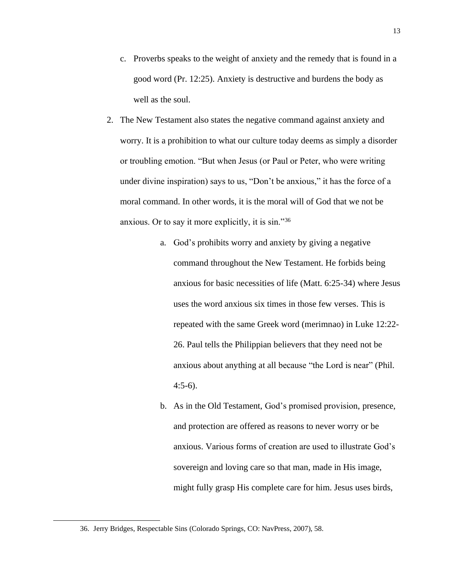- c. Proverbs speaks to the weight of anxiety and the remedy that is found in a good word (Pr. 12:25). Anxiety is destructive and burdens the body as well as the soul.
- 2. The New Testament also states the negative command against anxiety and worry. It is a prohibition to what our culture today deems as simply a disorder or troubling emotion. "But when Jesus (or Paul or Peter, who were writing under divine inspiration) says to us, "Don't be anxious," it has the force of a moral command. In other words, it is the moral will of God that we not be anxious. Or to say it more explicitly, it is sin."<sup>36</sup>
	- a. God's prohibits worry and anxiety by giving a negative command throughout the New Testament. He forbids being anxious for basic necessities of life (Matt. 6:25-34) where Jesus uses the word anxious six times in those few verses. This is repeated with the same Greek word (merimnao) in Luke 12:22- 26. Paul tells the Philippian believers that they need not be anxious about anything at all because "the Lord is near" (Phil. 4:5-6).
	- b. As in the Old Testament, God's promised provision, presence, and protection are offered as reasons to never worry or be anxious. Various forms of creation are used to illustrate God's sovereign and loving care so that man, made in His image, might fully grasp His complete care for him. Jesus uses birds,

<sup>36.</sup> Jerry Bridges, Respectable Sins (Colorado Springs, CO: NavPress, 2007), 58.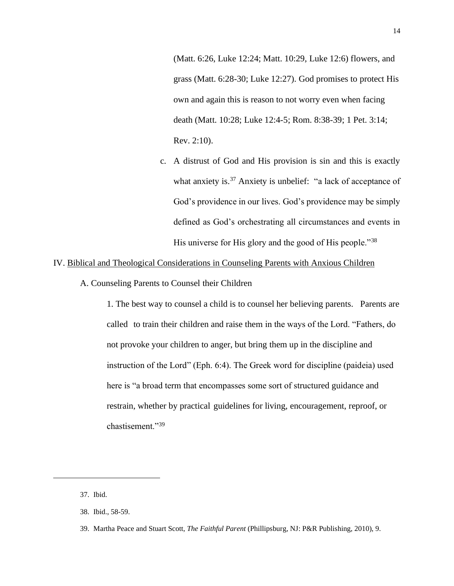(Matt. 6:26, Luke 12:24; Matt. 10:29, Luke 12:6) flowers, and grass (Matt. 6:28-30; Luke 12:27). God promises to protect His own and again this is reason to not worry even when facing death (Matt. 10:28; Luke 12:4-5; Rom. 8:38-39; 1 Pet. 3:14; Rev. 2:10).

c. A distrust of God and His provision is sin and this is exactly what anxiety is.<sup>37</sup> Anxiety is unbelief: "a lack of acceptance of God's providence in our lives. God's providence may be simply defined as God's orchestrating all circumstances and events in His universe for His glory and the good of His people."<sup>38</sup>

# IV. Biblical and Theological Considerations in Counseling Parents with Anxious Children

A. Counseling Parents to Counsel their Children

1. The best way to counsel a child is to counsel her believing parents. Parents are called to train their children and raise them in the ways of the Lord. "Fathers, do not provoke your children to anger, but bring them up in the discipline and instruction of the Lord" (Eph. 6:4). The Greek word for discipline (paideia) used here is "a broad term that encompasses some sort of structured guidance and restrain, whether by practical guidelines for living, encouragement, reproof, or chastisement."<sup>39</sup>

<sup>37.</sup> Ibid.

<sup>38.</sup> Ibid., 58-59.

<sup>39.</sup> Martha Peace and Stuart Scott, *The Faithful Parent* (Phillipsburg, NJ: P&R Publishing, 2010), 9.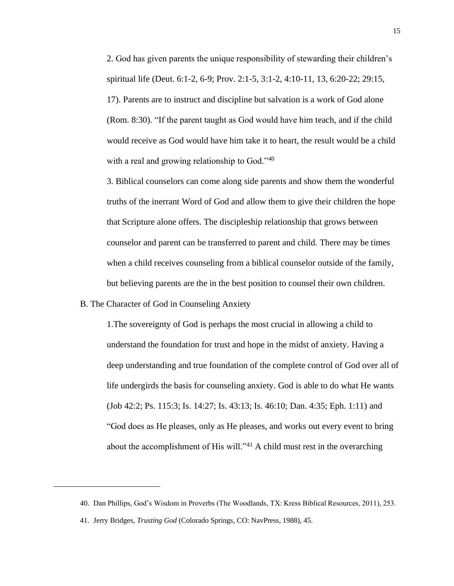2. God has given parents the unique responsibility of stewarding their children's spiritual life (Deut. 6:1-2, 6-9; Prov. 2:1-5, 3:1-2, 4:10-11, 13, 6:20-22; 29:15, 17). Parents are to instruct and discipline but salvation is a work of God alone (Rom. 8:30). "If the parent taught as God would have him teach, and if the child would receive as God would have him take it to heart, the result would be a child with a real and growing relationship to God."<sup>40</sup>

3. Biblical counselors can come along side parents and show them the wonderful truths of the inerrant Word of God and allow them to give their children the hope that Scripture alone offers. The discipleship relationship that grows between counselor and parent can be transferred to parent and child. There may be times when a child receives counseling from a biblical counselor outside of the family, but believing parents are the in the best position to counsel their own children.

B. The Character of God in Counseling Anxiety

1.The sovereignty of God is perhaps the most crucial in allowing a child to understand the foundation for trust and hope in the midst of anxiety. Having a deep understanding and true foundation of the complete control of God over all of life undergirds the basis for counseling anxiety. God is able to do what He wants (Job 42:2; Ps. 115:3; Is. 14:27; Is. 43:13; Is. 46:10; Dan. 4:35; Eph. 1:11) and "God does as He pleases, only as He pleases, and works out every event to bring about the accomplishment of His will.<sup>"41</sup> A child must rest in the overarching

<sup>40.</sup> Dan Phillips, God's Wisdom in Proverbs (The Woodlands, TX: Kress Biblical Resources, 2011), 253.

<sup>41.</sup> Jerry Bridges, *Trusting God* (Colorado Springs, CO: NavPress, 1988), 45.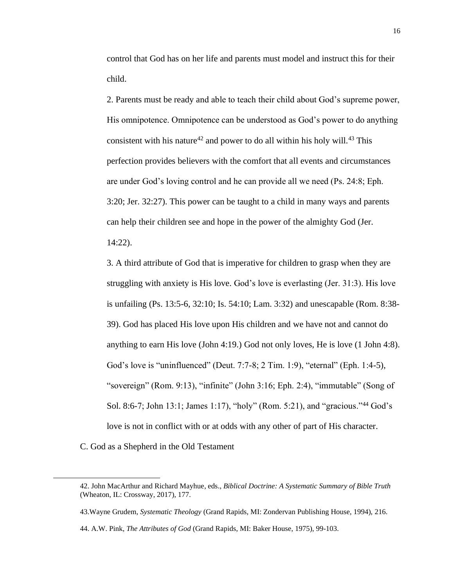control that God has on her life and parents must model and instruct this for their child.

2. Parents must be ready and able to teach their child about God's supreme power, His omnipotence. Omnipotence can be understood as God's power to do anything consistent with his nature<sup>42</sup> and power to do all within his holy will.<sup>43</sup> This perfection provides believers with the comfort that all events and circumstances are under God's loving control and he can provide all we need (Ps. 24:8; Eph. 3:20; Jer. 32:27). This power can be taught to a child in many ways and parents can help their children see and hope in the power of the almighty God (Jer.

14:22).

3. A third attribute of God that is imperative for children to grasp when they are struggling with anxiety is His love. God's love is everlasting (Jer. 31:3). His love is unfailing (Ps. 13:5-6, 32:10; Is. 54:10; Lam. 3:32) and unescapable (Rom. 8:38- 39). God has placed His love upon His children and we have not and cannot do anything to earn His love (John 4:19.) God not only loves, He is love (1 John 4:8). God's love is "uninfluenced" (Deut. 7:7-8; 2 Tim. 1:9), "eternal" (Eph. 1:4-5), "sovereign" (Rom. 9:13), "infinite" (John 3:16; Eph. 2:4), "immutable" (Song of Sol. 8:6-7; John 13:1; James 1:17), "holy" (Rom. 5:21), and "gracious."<sup>44</sup> God's love is not in conflict with or at odds with any other of part of His character.

C. God as a Shepherd in the Old Testament

<sup>42.</sup> John MacArthur and Richard Mayhue, eds., *Biblical Doctrine: A Systematic Summary of Bible Truth* (Wheaton, IL: Crossway, 2017), 177.

<sup>43.</sup>Wayne Grudem, *Systematic Theology* (Grand Rapids, MI: Zondervan Publishing House, 1994), 216.

<sup>44.</sup> A.W. Pink, *The Attributes of God* (Grand Rapids, MI: Baker House, 1975), 99-103.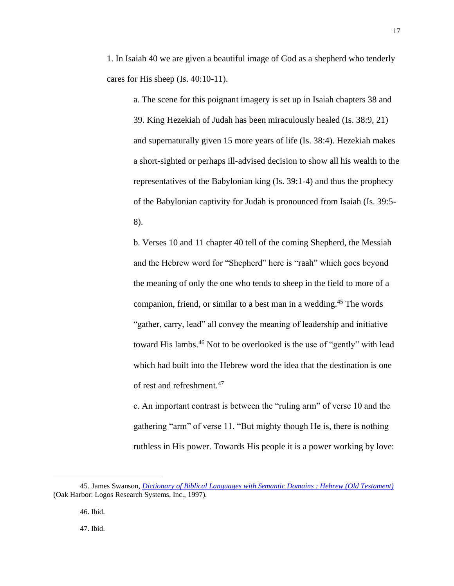1. In Isaiah 40 we are given a beautiful image of God as a shepherd who tenderly cares for His sheep (Is. 40:10-11).

a. The scene for this poignant imagery is set up in Isaiah chapters 38 and 39. King Hezekiah of Judah has been miraculously healed (Is. 38:9, 21) and supernaturally given 15 more years of life (Is. 38:4). Hezekiah makes a short-sighted or perhaps ill-advised decision to show all his wealth to the representatives of the Babylonian king (Is. 39:1-4) and thus the prophecy of the Babylonian captivity for Judah is pronounced from Isaiah (Is. 39:5- 8).

b. Verses 10 and 11 chapter 40 tell of the coming Shepherd, the Messiah and the Hebrew word for "Shepherd" here is "raah" which goes beyond the meaning of only the one who tends to sheep in the field to more of a companion, friend, or similar to a best man in a wedding.<sup>45</sup> The words "gather, carry, lead" all convey the meaning of leadership and initiative toward His lambs.<sup>46</sup> Not to be overlooked is the use of "gently" with lead which had built into the Hebrew word the idea that the destination is one of rest and refreshment. 47

c. An important contrast is between the "ruling arm" of verse 10 and the gathering "arm" of verse 11. "But mighty though He is, there is nothing ruthless in His power. Towards His people it is a power working by love:

46. Ibid.

47. Ibid.

<sup>45.</sup> James Swanson, *[Dictionary of Biblical Languages with Semantic Domains : Hebrew \(Old Testament\)](https://ref.ly/logosres/dblhebr?ref=DBLHebrew.DBLH+8287%2c+%231&off=23&ctx=LN+34.1%E2%80%9334.21+(qal)+~be+a+friend%2c+be+a+co)* (Oak Harbor: Logos Research Systems, Inc., 1997).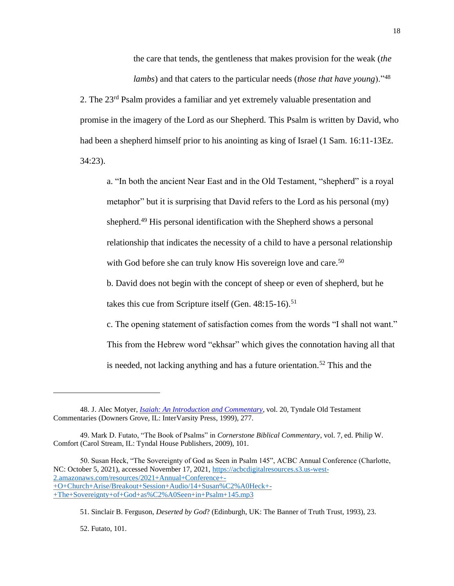the care that tends, the gentleness that makes provision for the weak (*the lambs*) and that caters to the particular needs (*those that have young*)."<sup>48</sup>

2. The 23rd Psalm provides a familiar and yet extremely valuable presentation and promise in the imagery of the Lord as our Shepherd. This Psalm is written by David, who had been a shepherd himself prior to his anointing as king of Israel (1 Sam. 16:11-13Ez. 34:23).

a. "In both the ancient Near East and in the Old Testament, "shepherd" is a royal metaphor" but it is surprising that David refers to the Lord as his personal (my) shepherd.<sup>49</sup> His personal identification with the Shepherd shows a personal relationship that indicates the necessity of a child to have a personal relationship with God before she can truly know His sovereign love and care.<sup>50</sup>

b. David does not begin with the concept of sheep or even of shepherd, but he takes this cue from Scripture itself (Gen.  $48:15-16$ ).<sup>51</sup>

c. The opening statement of satisfaction comes from the words "I shall not want." This from the Hebrew word "ekhsar" which gives the connotation having all that is needed, not lacking anything and has a future orientation.<sup>52</sup> This and the

50. Susan Heck, "The Sovereignty of God as Seen in Psalm 145", ACBC Annual Conference (Charlotte, NC: October 5, 2021), accessed November 17, 2021, [https://acbcdigitalresources.s3.us-west-](https://acbcdigitalresources.s3.us-west-2.amazonaws.com/resources/2021+Annual+Conference+-+O+Church+Arise/Breakout+Session+Audio/14+Susan%C2%A0Heck+-+The+Sovereignty+of+God+as%C2%A0Seen+in+Psalm+145.mp3)[2.amazonaws.com/resources/2021+Annual+Conference+-](https://acbcdigitalresources.s3.us-west-2.amazonaws.com/resources/2021+Annual+Conference+-+O+Church+Arise/Breakout+Session+Audio/14+Susan%C2%A0Heck+-+The+Sovereignty+of+God+as%C2%A0Seen+in+Psalm+145.mp3) [+O+Church+Arise/Breakout+Session+Audio/14+Susan%C2%A0Heck+-](https://acbcdigitalresources.s3.us-west-2.amazonaws.com/resources/2021+Annual+Conference+-+O+Church+Arise/Breakout+Session+Audio/14+Susan%C2%A0Heck+-+The+Sovereignty+of+God+as%C2%A0Seen+in+Psalm+145.mp3) [+The+Sovereignty+of+God+as%C2%A0Seen+in+Psalm+145.mp3](https://acbcdigitalresources.s3.us-west-2.amazonaws.com/resources/2021+Annual+Conference+-+O+Church+Arise/Breakout+Session+Audio/14+Susan%C2%A0Heck+-+The+Sovereignty+of+God+as%C2%A0Seen+in+Psalm+145.mp3)

52. Futato, 101.

<sup>48.</sup> J. Alec Motyer, *[Isaiah: An Introduction and Commentary](https://ref.ly/logosres/totc23isus?ref=Bible.Is40.9g-11&off=426&ctx=id+in+1+Sam.+31%3a2).+~But%2c+mighty+though+h)*, vol. 20, Tyndale Old Testament Commentaries (Downers Grove, IL: InterVarsity Press, 1999), 277.

<sup>49.</sup> Mark D. Futato, "The Book of Psalms" in *Cornerstone Biblical Commentary*, vol. 7, ed. Philip W. Comfort (Carol Stream, IL: Tyndal House Publishers, 2009), 101.

<sup>51.</sup> Sinclair B. Ferguson, *Deserted by God*? (Edinburgh, UK: The Banner of Truth Trust, 1993), 23.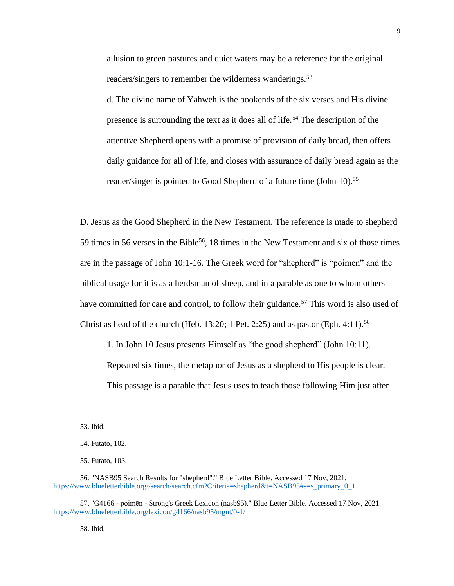allusion to green pastures and quiet waters may be a reference for the original readers/singers to remember the wilderness wanderings.<sup>53</sup>

d. The divine name of Yahweh is the bookends of the six verses and His divine presence is surrounding the text as it does all of life.<sup>54</sup> The description of the attentive Shepherd opens with a promise of provision of daily bread, then offers daily guidance for all of life, and closes with assurance of daily bread again as the reader/singer is pointed to Good Shepherd of a future time (John 10).<sup>55</sup>

D. Jesus as the Good Shepherd in the New Testament. The reference is made to shepherd 59 times in 56 verses in the Bible<sup>56</sup>, 18 times in the New Testament and six of those times are in the passage of John 10:1-16. The Greek word for "shepherd" is "poimen" and the biblical usage for it is as a herdsman of sheep, and in a parable as one to whom others have committed for care and control, to follow their guidance.<sup>57</sup> This word is also used of Christ as head of the church (Heb. 13:20; 1 Pet. 2:25) and as pastor (Eph. 4:11).<sup>58</sup>

1. In John 10 Jesus presents Himself as "the good shepherd" (John 10:11). Repeated six times, the metaphor of Jesus as a shepherd to His people is clear. This passage is a parable that Jesus uses to teach those following Him just after

53. Ibid.

55. Futato, 103.

56. "NASB95 Search Results for "shepherd"." Blue Letter Bible. Accessed 17 Nov, 2021. [https://www.blueletterbible.org//search/search.cfm?Criteria=shepherd&t=NASB95#s=s\\_primary\\_0\\_1](https://www.blueletterbible.org/search/search.cfm?Criteria=shepherd&t=NASB95#s=s_primary_0_1)

57. "G4166 - poimēn - Strong's Greek Lexicon (nasb95)." Blue Letter Bible. Accessed 17 Nov, 2021. <https://www.blueletterbible.org/lexicon/g4166/nasb95/mgnt/0-1/>

58. Ibid.

<sup>54.</sup> Futato, 102.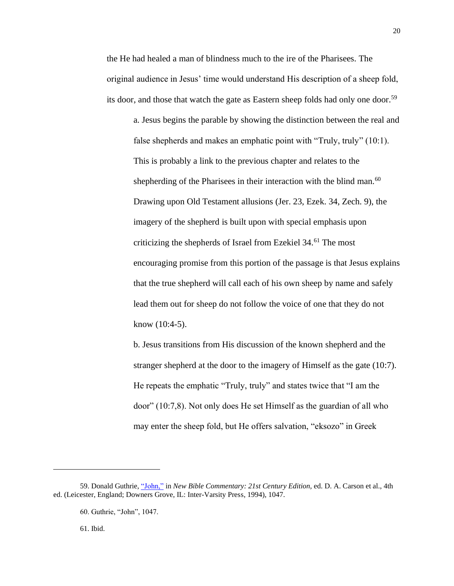the He had healed a man of blindness much to the ire of the Pharisees. The original audience in Jesus' time would understand His description of a sheep fold, its door, and those that watch the gate as Eastern sheep folds had only one door. 59

a. Jesus begins the parable by showing the distinction between the real and false shepherds and makes an emphatic point with "Truly, truly" (10:1). This is probably a link to the previous chapter and relates to the shepherding of the Pharisees in their interaction with the blind man.<sup>60</sup> Drawing upon Old Testament allusions (Jer. 23, Ezek. 34, Zech. 9), the imagery of the shepherd is built upon with special emphasis upon criticizing the shepherds of Israel from Ezekiel 34.<sup>61</sup> The most encouraging promise from this portion of the passage is that Jesus explains that the true shepherd will call each of his own sheep by name and safely lead them out for sheep do not follow the voice of one that they do not know (10:4-5).

b. Jesus transitions from His discussion of the known shepherd and the stranger shepherd at the door to the imagery of Himself as the gate (10:7). He repeats the emphatic "Truly, truly" and states twice that "I am the door" (10:7,8). Not only does He set Himself as the guardian of all who may enter the sheep fold, but He offers salvation, "eksozo" in Greek

<sup>59.</sup> Donald Guthrie, ["John,"](https://ref.ly/logosres/nbc?ref=Bible.Jn10.1-6&off=1226&ctx=p+and+the+shepherd.+~The+characteristic+o) in *New Bible Commentary: 21st Century Edition*, ed. D. A. Carson et al., 4th ed. (Leicester, England; Downers Grove, IL: Inter-Varsity Press, 1994), 1047.

<sup>60.</sup> Guthrie, "John", 1047.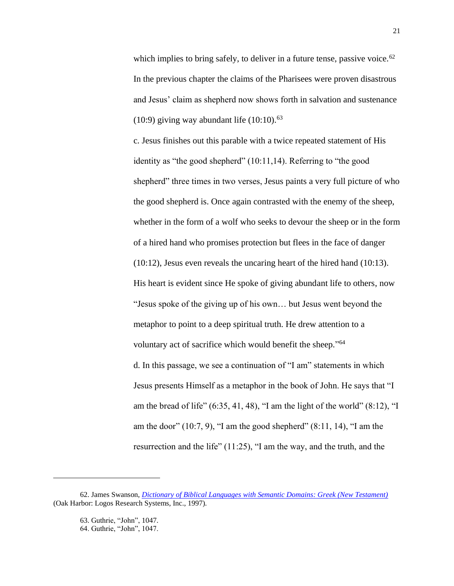which implies to bring safely, to deliver in a future tense, passive voice.<sup> $62$ </sup> In the previous chapter the claims of the Pharisees were proven disastrous and Jesus' claim as shepherd now shows forth in salvation and sustenance (10:9) giving way abundant life  $(10:10).<sup>63</sup>$ 

c. Jesus finishes out this parable with a twice repeated statement of His identity as "the good shepherd" (10:11,14). Referring to "the good shepherd" three times in two verses, Jesus paints a very full picture of who the good shepherd is. Once again contrasted with the enemy of the sheep, whether in the form of a wolf who seeks to devour the sheep or in the form of a hired hand who promises protection but flees in the face of danger (10:12), Jesus even reveals the uncaring heart of the hired hand (10:13). His heart is evident since He spoke of giving abundant life to others, now "Jesus spoke of the giving up of his own… but Jesus went beyond the metaphor to point to a deep spiritual truth. He drew attention to a voluntary act of sacrifice which would benefit the sheep."<sup>64</sup> d. In this passage, we see a continuation of "I am" statements in which Jesus presents Himself as a metaphor in the book of John. He says that "I am the bread of life"  $(6:35, 41, 48)$ , "I am the light of the world"  $(8:12)$ , "I am the door"  $(10:7, 9)$ , "I am the good shepherd"  $(8:11, 14)$ , "I am the resurrection and the life" (11:25), "I am the way, and the truth, and the

63. Guthrie, "John", 1047. 64. Guthrie, "John", 1047.

<sup>62.</sup> James Swanson, *[Dictionary of Biblical Languages with Semantic Domains: Greek \(New Testament\)](https://ref.ly/logosres/dblgreek?ref=DBLGreek.DBLG+1751&off=5&ctx=1751+~%CE%B5%CC%93%CE%BA%CF%83%CF%89%CC%81%CD%85%CE%B6%CF%89+(ekso%CC%84zo%CC%84)%3a+vb.%3b+%E2%89%A1+Str+49)* (Oak Harbor: Logos Research Systems, Inc., 1997).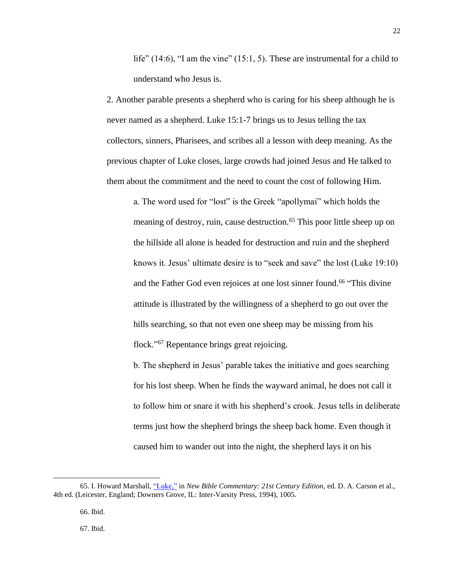life" (14:6), "I am the vine" (15:1, 5). These are instrumental for a child to understand who Jesus is.

2. Another parable presents a shepherd who is caring for his sheep although he is never named as a shepherd. Luke 15:1-7 brings us to Jesus telling the tax collectors, sinners, Pharisees, and scribes all a lesson with deep meaning. As the previous chapter of Luke closes, large crowds had joined Jesus and He talked to them about the commitment and the need to count the cost of following Him.

a. The word used for "lost" is the Greek "apollymai" which holds the meaning of destroy, ruin, cause destruction.<sup>65</sup> This poor little sheep up on the hillside all alone is headed for destruction and ruin and the shepherd knows it. Jesus' ultimate desire is to "seek and save" the lost (Luke 19:10) and the Father God even rejoices at one lost sinner found.<sup>66</sup> "This divine attitude is illustrated by the willingness of a shepherd to go out over the hills searching, so that not even one sheep may be missing from his flock."<sup>67</sup> Repentance brings great rejoicing.

b. The shepherd in Jesus' parable takes the initiative and goes searching for his lost sheep. When he finds the wayward animal, he does not call it to follow him or snare it with his shepherd's crook. Jesus tells in deliberate terms just how the shepherd brings the sheep back home. Even though it caused him to wander out into the night, the shepherd lays it on his

67. Ibid.

<sup>65.</sup> I. Howard Marshall[, "Luke,"](https://ref.ly/logosres/nbc?ref=Bible.Lk15.1-10&off=8&ctx=15%3a1%E2%80%9310+~The+lost+sheep+and+the+lost+coin) in *New Bible Commentary: 21st Century Edition*, ed. D. A. Carson et al., 4th ed. (Leicester, England; Downers Grove, IL: Inter-Varsity Press, 1994), 1005.

<sup>66.</sup> Ibid.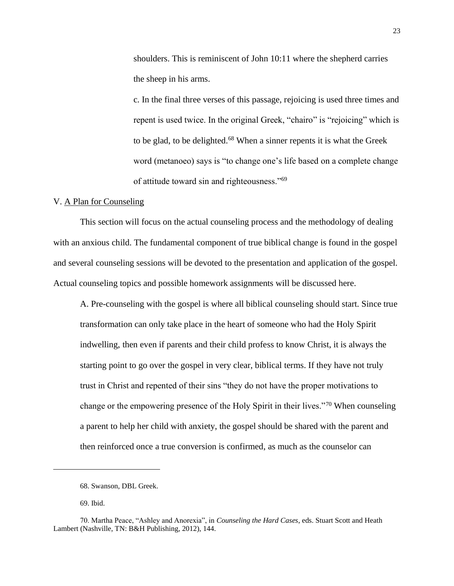shoulders. This is reminiscent of John 10:11 where the shepherd carries the sheep in his arms.

c. In the final three verses of this passage, rejoicing is used three times and repent is used twice. In the original Greek, "chairo" is "rejoicing" which is to be glad, to be delighted.<sup>68</sup> When a sinner repents it is what the Greek word (metanoeo) says is "to change one's life based on a complete change of attitude toward sin and righteousness."<sup>69</sup>

#### V. A Plan for Counseling

This section will focus on the actual counseling process and the methodology of dealing with an anxious child. The fundamental component of true biblical change is found in the gospel and several counseling sessions will be devoted to the presentation and application of the gospel. Actual counseling topics and possible homework assignments will be discussed here.

A. Pre-counseling with the gospel is where all biblical counseling should start. Since true transformation can only take place in the heart of someone who had the Holy Spirit indwelling, then even if parents and their child profess to know Christ, it is always the starting point to go over the gospel in very clear, biblical terms. If they have not truly trust in Christ and repented of their sins "they do not have the proper motivations to change or the empowering presence of the Holy Spirit in their lives."<sup>70</sup> When counseling a parent to help her child with anxiety, the gospel should be shared with the parent and then reinforced once a true conversion is confirmed, as much as the counselor can

<sup>68.</sup> Swanson, DBL Greek.

<sup>69.</sup> Ibid.

<sup>70.</sup> Martha Peace, "Ashley and Anorexia", in *Counseling the Hard Cases*, eds. Stuart Scott and Heath Lambert (Nashville, TN: B&H Publishing, 2012), 144.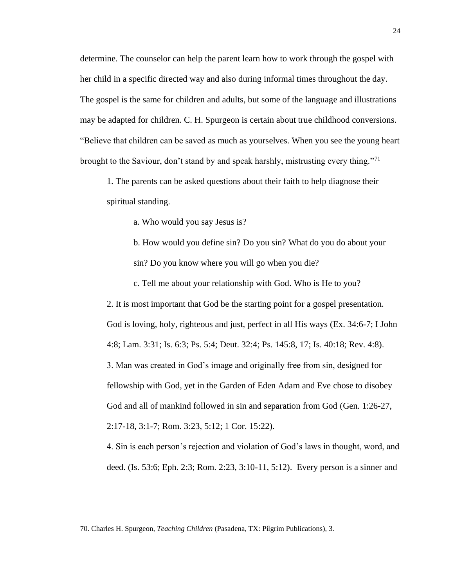determine. The counselor can help the parent learn how to work through the gospel with her child in a specific directed way and also during informal times throughout the day. The gospel is the same for children and adults, but some of the language and illustrations may be adapted for children. C. H. Spurgeon is certain about true childhood conversions. "Believe that children can be saved as much as yourselves. When you see the young heart brought to the Saviour, don't stand by and speak harshly, mistrusting every thing."<sup>71</sup>

1. The parents can be asked questions about their faith to help diagnose their spiritual standing.

a. Who would you say Jesus is?

b. How would you define sin? Do you sin? What do you do about your sin? Do you know where you will go when you die?

c. Tell me about your relationship with God. Who is He to you?

2. It is most important that God be the starting point for a gospel presentation. God is loving, holy, righteous and just, perfect in all His ways (Ex. 34:6-7; I John 4:8; Lam. 3:31; Is. 6:3; Ps. 5:4; Deut. 32:4; Ps. 145:8, 17; Is. 40:18; Rev. 4:8). 3. Man was created in God's image and originally free from sin, designed for fellowship with God, yet in the Garden of Eden Adam and Eve chose to disobey God and all of mankind followed in sin and separation from God (Gen. 1:26-27, 2:17-18, 3:1-7; Rom. 3:23, 5:12; 1 Cor. 15:22).

4. Sin is each person's rejection and violation of God's laws in thought, word, and deed. (Is. 53:6; Eph. 2:3; Rom. 2:23, 3:10-11, 5:12). Every person is a sinner and

<sup>70.</sup> Charles H. Spurgeon, *Teaching Children* (Pasadena, TX: Pilgrim Publications), 3.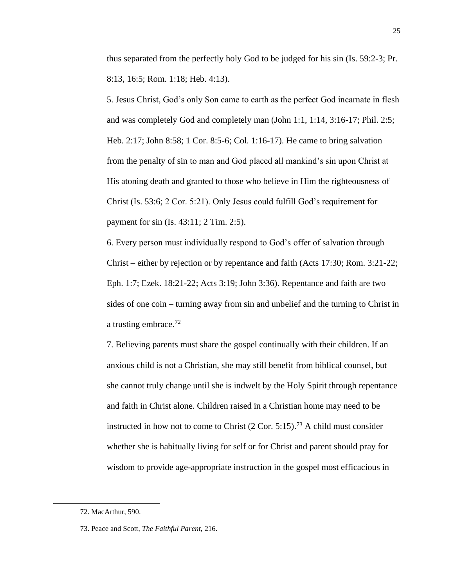thus separated from the perfectly holy God to be judged for his sin (Is. 59:2-3; Pr. 8:13, 16:5; Rom. 1:18; Heb. 4:13).

5. Jesus Christ, God's only Son came to earth as the perfect God incarnate in flesh and was completely God and completely man (John 1:1, 1:14, 3:16-17; Phil. 2:5; Heb. 2:17; John 8:58; 1 Cor. 8:5-6; Col. 1:16-17). He came to bring salvation from the penalty of sin to man and God placed all mankind's sin upon Christ at His atoning death and granted to those who believe in Him the righteousness of Christ (Is. 53:6; 2 Cor. 5:21). Only Jesus could fulfill God's requirement for payment for sin (Is. 43:11; 2 Tim. 2:5).

6. Every person must individually respond to God's offer of salvation through Christ – either by rejection or by repentance and faith (Acts 17:30; Rom. 3:21-22; Eph. 1:7; Ezek. 18:21-22; Acts 3:19; John 3:36). Repentance and faith are two sides of one coin – turning away from sin and unbelief and the turning to Christ in a trusting embrace.<sup>72</sup>

7. Believing parents must share the gospel continually with their children. If an anxious child is not a Christian, she may still benefit from biblical counsel, but she cannot truly change until she is indwelt by the Holy Spirit through repentance and faith in Christ alone. Children raised in a Christian home may need to be instructed in how not to come to Christ  $(2 \text{ Cor. } 5:15)$ .<sup>73</sup> A child must consider whether she is habitually living for self or for Christ and parent should pray for wisdom to provide age-appropriate instruction in the gospel most efficacious in

<sup>72.</sup> MacArthur, 590.

<sup>73.</sup> Peace and Scott, *The Faithful Parent,* 216.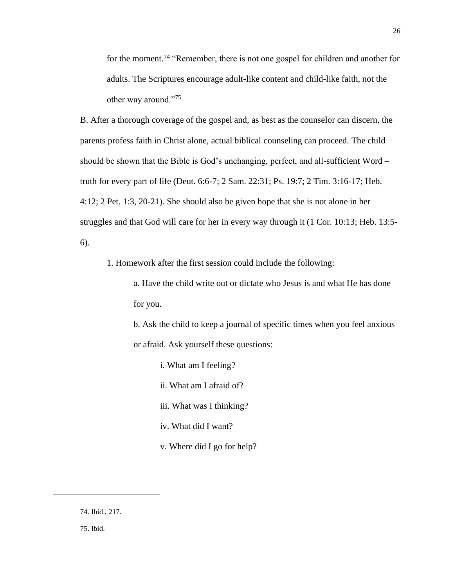for the moment.<sup>74</sup> "Remember, there is not one gospel for children and another for adults. The Scriptures encourage adult-like content and child-like faith, not the other way around."<sup>75</sup>

B. After a thorough coverage of the gospel and, as best as the counselor can discern, the parents profess faith in Christ alone, actual biblical counseling can proceed. The child should be shown that the Bible is God's unchanging, perfect, and all-sufficient Word – truth for every part of life (Deut. 6:6-7; 2 Sam. 22:31; Ps. 19:7; 2 Tim. 3:16-17; Heb. 4:12; 2 Pet. 1:3, 20-21). She should also be given hope that she is not alone in her struggles and that God will care for her in every way through it (1 Cor. 10:13; Heb. 13:5- 6).

1. Homework after the first session could include the following:

a. Have the child write out or dictate who Jesus is and what He has done for you.

b. Ask the child to keep a journal of specific times when you feel anxious or afraid. Ask yourself these questions:

- i. What am I feeling?
- ii. What am I afraid of?
- iii. What was I thinking?
- iv. What did I want?
- v. Where did I go for help?

<sup>74.</sup> Ibid., 217.

<sup>75.</sup> Ibid.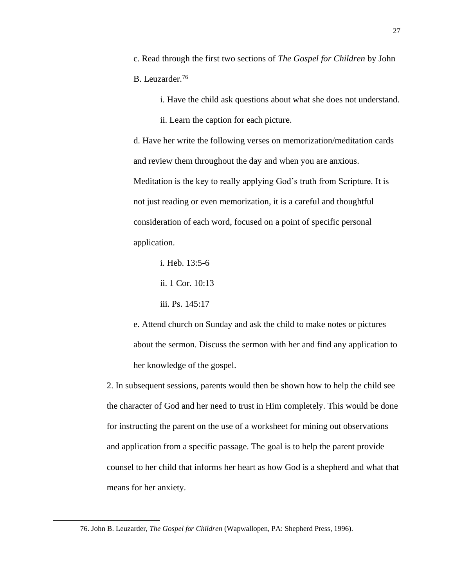c. Read through the first two sections of *The Gospel for Children* by John B. Leuzarder.<sup>76</sup>

i. Have the child ask questions about what she does not understand.

ii. Learn the caption for each picture.

d. Have her write the following verses on memorization/meditation cards and review them throughout the day and when you are anxious. Meditation is the key to really applying God's truth from Scripture. It is not just reading or even memorization, it is a careful and thoughtful consideration of each word, focused on a point of specific personal application.

i. Heb. 13:5-6

ii. 1 Cor. 10:13

iii. Ps. 145:17

e. Attend church on Sunday and ask the child to make notes or pictures about the sermon. Discuss the sermon with her and find any application to her knowledge of the gospel.

2. In subsequent sessions, parents would then be shown how to help the child see the character of God and her need to trust in Him completely. This would be done for instructing the parent on the use of a worksheet for mining out observations and application from a specific passage. The goal is to help the parent provide counsel to her child that informs her heart as how God is a shepherd and what that means for her anxiety.

<sup>76.</sup> John B. Leuzarder, *The Gospel for Children* (Wapwallopen, PA: Shepherd Press, 1996).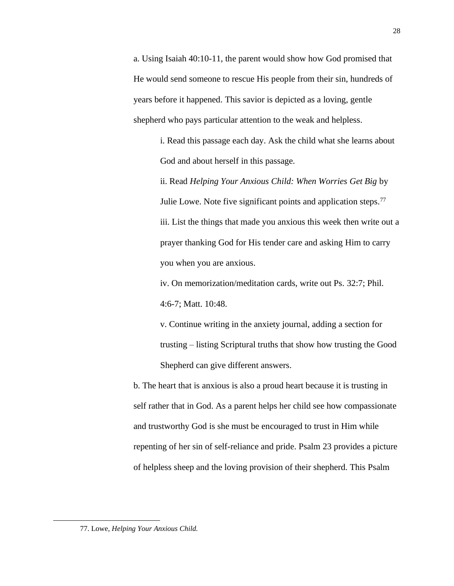a. Using Isaiah 40:10-11, the parent would show how God promised that He would send someone to rescue His people from their sin, hundreds of years before it happened. This savior is depicted as a loving, gentle shepherd who pays particular attention to the weak and helpless.

> i. Read this passage each day. Ask the child what she learns about God and about herself in this passage.

ii. Read *Helping Your Anxious Child: When Worries Get Big* by Julie Lowe. Note five significant points and application steps.<sup>77</sup> iii. List the things that made you anxious this week then write out a prayer thanking God for His tender care and asking Him to carry you when you are anxious.

iv. On memorization/meditation cards, write out Ps. 32:7; Phil. 4:6-7; Matt. 10:48.

v. Continue writing in the anxiety journal, adding a section for trusting – listing Scriptural truths that show how trusting the Good Shepherd can give different answers.

b. The heart that is anxious is also a proud heart because it is trusting in self rather that in God. As a parent helps her child see how compassionate and trustworthy God is she must be encouraged to trust in Him while repenting of her sin of self-reliance and pride. Psalm 23 provides a picture of helpless sheep and the loving provision of their shepherd. This Psalm

<sup>77.</sup> Lowe, *Helping Your Anxious Child.*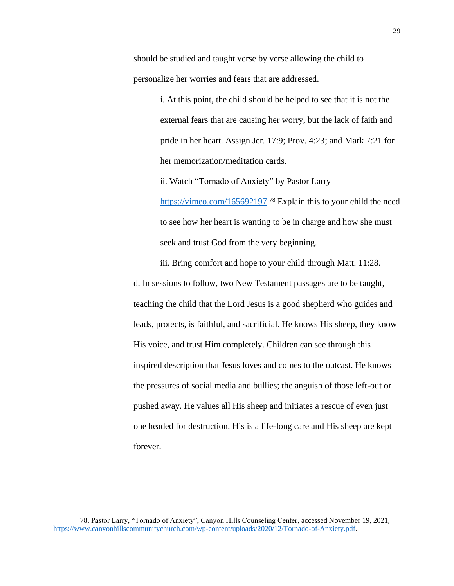should be studied and taught verse by verse allowing the child to personalize her worries and fears that are addressed.

> i. At this point, the child should be helped to see that it is not the external fears that are causing her worry, but the lack of faith and pride in her heart. Assign Jer. 17:9; Prov. 4:23; and Mark 7:21 for her memorization/meditation cards.

ii. Watch "Tornado of Anxiety" by Pastor Larry [https://vimeo.com/165692197.](https://vimeo.com/165692197)<sup>78</sup> Explain this to your child the need to see how her heart is wanting to be in charge and how she must seek and trust God from the very beginning.

iii. Bring comfort and hope to your child through Matt. 11:28.

d. In sessions to follow, two New Testament passages are to be taught, teaching the child that the Lord Jesus is a good shepherd who guides and leads, protects, is faithful, and sacrificial. He knows His sheep, they know His voice, and trust Him completely. Children can see through this inspired description that Jesus loves and comes to the outcast. He knows the pressures of social media and bullies; the anguish of those left-out or pushed away. He values all His sheep and initiates a rescue of even just one headed for destruction. His is a life-long care and His sheep are kept forever.

<sup>78.</sup> Pastor Larry, "Tornado of Anxiety", Canyon Hills Counseling Center, accessed November 19, 2021, [https://www.canyonhillscommunitychurch.com/wp-content/uploads/2020/12/Tornado-of-Anxiety.pdf.](https://www.canyonhillscommunitychurch.com/wp-content/uploads/2020/12/Tornado-of-Anxiety.pdf)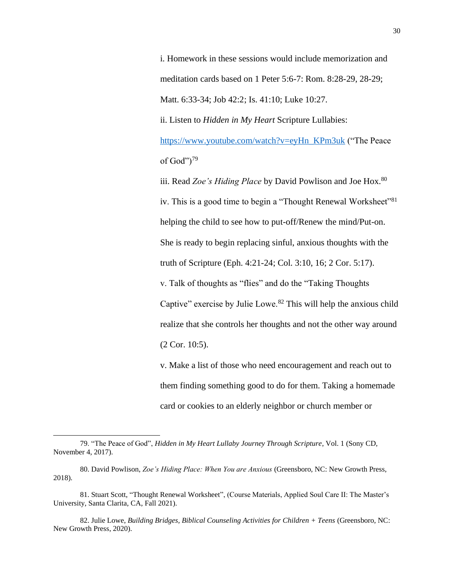i. Homework in these sessions would include memorization and meditation cards based on 1 Peter 5:6-7: Rom. 8:28-29, 28-29; Matt. 6:33-34; Job 42:2; Is. 41:10; Luke 10:27.

ii. Listen to *Hidden in My Heart* Scripture Lullabies:

[https://www.youtube.com/watch?v=eyHn\\_KPm3uk](https://www.youtube.com/watch?v=eyHn_KPm3uk) ("The Peace of God" $)^{79}$ 

iii. Read *Zoe's Hiding Place* by David Powlison and Joe Hox.<sup>80</sup> iv. This is a good time to begin a "Thought Renewal Worksheet"<sup>81</sup> helping the child to see how to put-off/Renew the mind/Put-on. She is ready to begin replacing sinful, anxious thoughts with the truth of Scripture (Eph. 4:21-24; Col. 3:10, 16; 2 Cor. 5:17). v. Talk of thoughts as "flies" and do the "Taking Thoughts Captive" exercise by Julie Lowe. $82$  This will help the anxious child realize that she controls her thoughts and not the other way around (2 Cor. 10:5).

v. Make a list of those who need encouragement and reach out to them finding something good to do for them. Taking a homemade card or cookies to an elderly neighbor or church member or

<sup>79. &</sup>quot;The Peace of God", *Hidden in My Heart Lullaby Journey Through Scripture*, Vol. 1 (Sony CD, November 4, 2017).

<sup>80.</sup> David Powlison, *Zoe's Hiding Place: When You are Anxious* (Greensboro, NC: New Growth Press, 2018).

<sup>81.</sup> Stuart Scott, "Thought Renewal Worksheet", (Course Materials, Applied Soul Care II: The Master's University, Santa Clarita, CA, Fall 2021).

<sup>82.</sup> Julie Lowe, *Building Bridges, Biblical Counseling Activities for Children + Teens* (Greensboro, NC: New Growth Press, 2020).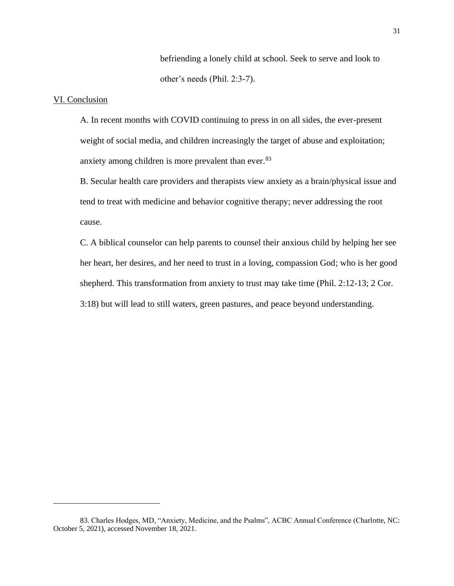befriending a lonely child at school. Seek to serve and look to other's needs (Phil. 2:3-7).

#### VI. Conclusion

A. In recent months with COVID continuing to press in on all sides, the ever-present weight of social media, and children increasingly the target of abuse and exploitation; anxiety among children is more prevalent than ever.<sup>83</sup>

B. Secular health care providers and therapists view anxiety as a brain/physical issue and tend to treat with medicine and behavior cognitive therapy; never addressing the root cause.

C. A biblical counselor can help parents to counsel their anxious child by helping her see her heart, her desires, and her need to trust in a loving, compassion God; who is her good shepherd. This transformation from anxiety to trust may take time (Phil. 2:12-13; 2 Cor. 3:18) but will lead to still waters, green pastures, and peace beyond understanding.

<sup>83.</sup> Charles Hodges, MD, "Anxiety, Medicine, and the Psalms", ACBC Annual Conference (Charlotte, NC: October 5, 2021), accessed November 18, 2021.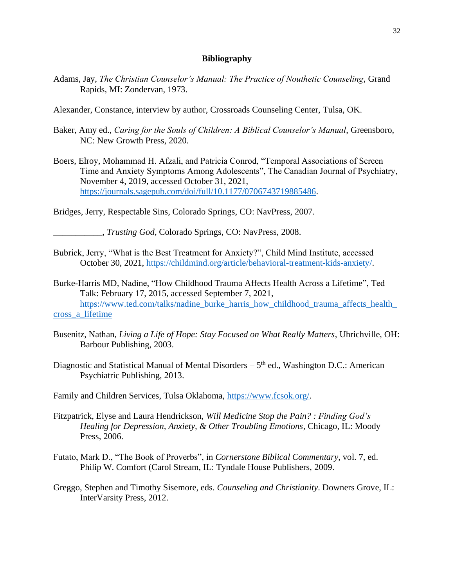#### **Bibliography**

- Adams, Jay, *The Christian Counselor's Manual: The Practice of Nouthetic Counseling*, Grand Rapids, MI: Zondervan, 1973.
- Alexander, Constance, interview by author, Crossroads Counseling Center, Tulsa, OK.
- Baker, Amy ed., *Caring for the Souls of Children: A Biblical Counselor's Manual*, Greensboro, NC: New Growth Press, 2020.
- Boers, Elroy, Mohammad H. Afzali, and Patricia Conrod, "Temporal Associations of Screen Time and Anxiety Symptoms Among Adolescents", The Canadian Journal of Psychiatry, November 4, 2019, accessed October 31, 2021, [https://journals.sagepub.com/doi/full/10.1177/0706743719885486.](https://journals.sagepub.com/doi/full/10.1177/0706743719885486)

Bridges, Jerry, Respectable Sins, Colorado Springs, CO: NavPress, 2007.

\_\_\_\_\_\_\_\_\_\_\_, *Trusting God*, Colorado Springs, CO: NavPress, 2008.

- Bubrick, Jerry, "What is the Best Treatment for Anxiety?", Child Mind Institute, accessed October 30, 2021, [https://childmind.org/article/behavioral-treatment-kids-anxiety/.](https://childmind.org/article/behavioral-treatment-kids-anxiety/)
- Burke-Harris MD, Nadine, "How Childhood Trauma Affects Health Across a Lifetime", Ted Talk: February 17, 2015, accessed September 7, 2021, https://www.ted.com/talks/nadine\_burke\_harris\_how\_childhood\_trauma\_affects\_health [cross\\_a\\_lifetime](https://www.ted.com/talks/nadine_burke_harris_how_childhood_trauma_affects_health_cross_a_lifetime)
- Busenitz, Nathan, *Living a Life of Hope: Stay Focused on What Really Matters*, Uhrichville, OH: Barbour Publishing, 2003.
- Diagnostic and Statistical Manual of Mental Disorders 5<sup>th</sup> ed., Washington D.C.: American Psychiatric Publishing, 2013.
- Family and Children Services, Tulsa Oklahoma, [https://www.fcsok.org/.](https://www.fcsok.org/)
- Fitzpatrick, Elyse and Laura Hendrickson, *Will Medicine Stop the Pain? : Finding God's Healing for Depression, Anxiety, & Other Troubling Emotions*, Chicago, IL: Moody Press, 2006.
- Futato, Mark D., "The Book of Proverbs", in *Cornerstone Biblical Commentary*, vol. 7, ed. Philip W. Comfort (Carol Stream, IL: Tyndale House Publishers, 2009.
- Greggo, Stephen and Timothy Sisemore, eds. *Counseling and Christianity*. Downers Grove, IL: InterVarsity Press, 2012.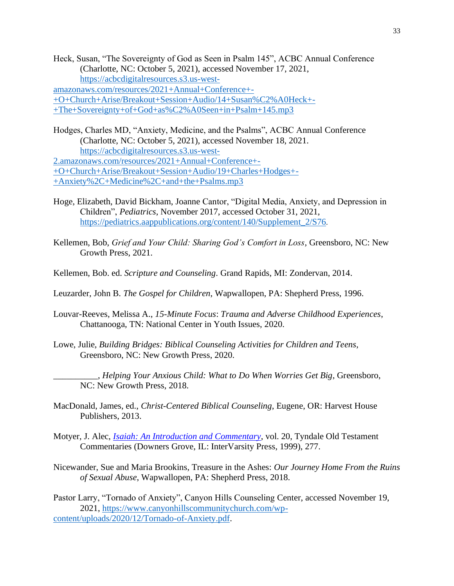Heck, Susan, "The Sovereignty of God as Seen in Psalm 145", ACBC Annual Conference (Charlotte, NC: October 5, 2021), accessed November 17, 2021, [https://acbcdigitalresources.s3.us-west](https://acbcdigitalresources.s3.us-west-amazonaws.com/resources/2021+Annual+Conference+-+O+Church+Arise/Breakout+Session+Audio/14+Susan%C2%A0Heck+-+The+Sovereignty+of+God+as%C2%A0Seen+in+Psalm+145.mp3)[amazonaws.com/resources/2021+Annual+Conference+-](https://acbcdigitalresources.s3.us-west-amazonaws.com/resources/2021+Annual+Conference+-+O+Church+Arise/Breakout+Session+Audio/14+Susan%C2%A0Heck+-+The+Sovereignty+of+God+as%C2%A0Seen+in+Psalm+145.mp3)

[+O+Church+Arise/Breakout+Session+Audio/14+Susan%C2%A0Heck+-](https://acbcdigitalresources.s3.us-west-amazonaws.com/resources/2021+Annual+Conference+-+O+Church+Arise/Breakout+Session+Audio/14+Susan%C2%A0Heck+-+The+Sovereignty+of+God+as%C2%A0Seen+in+Psalm+145.mp3) [+The+Sovereignty+of+God+as%C2%A0Seen+in+Psalm+145.mp3](https://acbcdigitalresources.s3.us-west-amazonaws.com/resources/2021+Annual+Conference+-+O+Church+Arise/Breakout+Session+Audio/14+Susan%C2%A0Heck+-+The+Sovereignty+of+God+as%C2%A0Seen+in+Psalm+145.mp3)

Hodges, Charles MD, "Anxiety, Medicine, and the Psalms", ACBC Annual Conference (Charlotte, NC: October 5, 2021), accessed November 18, 2021. [https://acbcdigitalresources.s3.us-west-](https://acbcdigitalresources.s3.us-west-2.amazonaws.com/resources/2021+Annual+Conference+-+O+Church+Arise/Breakout+Session+Audio/19+Charles+Hodges+-+Anxiety%2C+Medicine%2C+and+the+Psalms.mp3)[2.amazonaws.com/resources/2021+Annual+Conference+-](https://acbcdigitalresources.s3.us-west-2.amazonaws.com/resources/2021+Annual+Conference+-+O+Church+Arise/Breakout+Session+Audio/19+Charles+Hodges+-+Anxiety%2C+Medicine%2C+and+the+Psalms.mp3)

[+O+Church+Arise/Breakout+Session+Audio/19+Charles+Hodges+-](https://acbcdigitalresources.s3.us-west-2.amazonaws.com/resources/2021+Annual+Conference+-+O+Church+Arise/Breakout+Session+Audio/19+Charles+Hodges+-+Anxiety%2C+Medicine%2C+and+the+Psalms.mp3)

[+Anxiety%2C+Medicine%2C+and+the+Psalms.mp3](https://acbcdigitalresources.s3.us-west-2.amazonaws.com/resources/2021+Annual+Conference+-+O+Church+Arise/Breakout+Session+Audio/19+Charles+Hodges+-+Anxiety%2C+Medicine%2C+and+the+Psalms.mp3)

- Hoge, Elizabeth, David Bickham, Joanne Cantor, "Digital Media, Anxiety, and Depression in Children", *Pediatrics*, November 2017, accessed October 31, 2021, [https://pediatrics.aappublications.org/content/140/Supplement\\_2/S76](https://pediatrics.aappublications.org/content/140/Supplement_2/S76).
- Kellemen, Bob, *Grief and Your Child: Sharing God's Comfort in Loss*, Greensboro, NC: New Growth Press, 2021.
- Kellemen, Bob. ed. *Scripture and Counseling*. Grand Rapids, MI: Zondervan, 2014.
- Leuzarder, John B. *The Gospel for Children*, Wapwallopen, PA: Shepherd Press, 1996.
- Louvar-Reeves, Melissa A., *15-Minute Focus*: *Trauma and Adverse Childhood Experiences*, Chattanooga, TN: National Center in Youth Issues, 2020.
- Lowe, Julie, *Building Bridges: Biblical Counseling Activities for Children and Teens*, Greensboro, NC: New Growth Press, 2020.
	- \_\_\_\_\_\_\_\_\_\_, *Helping Your Anxious Child: What to Do When Worries Get Big*, Greensboro, NC: New Growth Press, 2018.
- MacDonald, James, ed., *Christ-Centered Biblical Counseling*, Eugene, OR: Harvest House Publishers, 2013.
- Motyer, J. Alec, *[Isaiah: An Introduction and Commentary](https://ref.ly/logosres/totc23isus?ref=Bible.Is40.9g-11&off=686&ctx=e+that+have+young).+~Note+the+contrast+be)*, vol. 20, Tyndale Old Testament Commentaries (Downers Grove, IL: InterVarsity Press, 1999), 277.
- Nicewander, Sue and Maria Brookins, Treasure in the Ashes: *Our Journey Home From the Ruins of Sexual Abuse*, Wapwallopen, PA: Shepherd Press, 2018.

Pastor Larry, "Tornado of Anxiety", Canyon Hills Counseling Center, accessed November 19, 2021, [https://www.canyonhillscommunitychurch.com/wp](https://www.canyonhillscommunitychurch.com/wp-content/uploads/2020/12/Tornado-of-Anxiety.pdf)[content/uploads/2020/12/Tornado-of-Anxiety.pdf.](https://www.canyonhillscommunitychurch.com/wp-content/uploads/2020/12/Tornado-of-Anxiety.pdf)